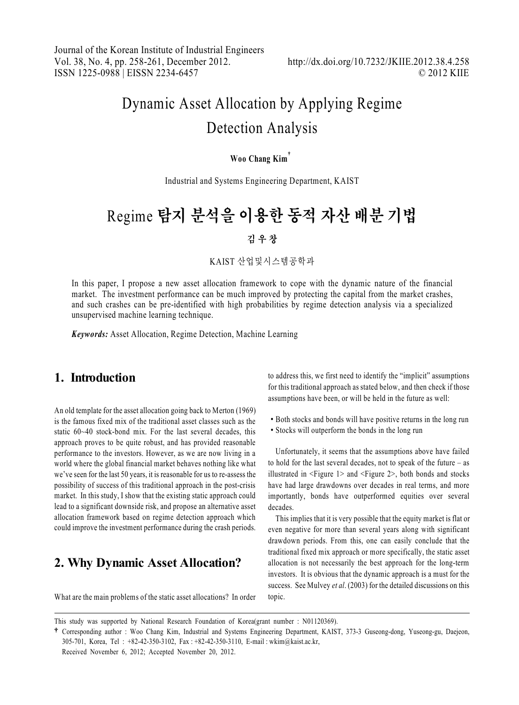# Dynamic Asset Allocation by Applying Regime Detection Analysis

#### **Woo Chang Kim**ٜ**\***

Industrial and Systems Engineering Department, KAIST

# Regime 탐지 분석을 이용한 동적 자산 배분 기법

#### 김 우 창

KAIST 산업및시스템공학과

In this paper, I propose a new asset allocation framework to cope with the dynamic nature of the financial market. The investment performance can be much improved by protecting the capital from the market crashes, and such crashes can be pre-identified with high probabilities by regime detection analysis via a specialized unsupervised machine learning technique.

*Keywords:* Asset Allocation, Regime Detection, Machine Learning

#### **1. Introduction**

An old template for the asset allocation going back to Merton (1969) is the famous fixed mix of the traditional asset classes such as the static 60~40 stock-bond mix. For the last several decades, this approach proves to be quite robust, and has provided reasonable performance to the investors. However, as we are now living in a world where the global financial market behaves nothing like what we've seen for the last 50 years, it is reasonable for us to re-assess the possibility of success of this traditional approach in the post-crisis market. In this study, I show that the existing static approach could lead to a significant downside risk, and propose an alternative asset allocation framework based on regime detection approach which could improve the investment performance during the crash periods.

## **2. Why Dynamic Asset Allocation?**

to address this, we first need to identify the "implicit" assumptions for this traditional approach as stated below, and then check if those assumptions have been, or will be held in the future as well:

- Both stocks and bonds will have positive returns in the long run
- Stocks will outperform the bonds in the long run

Unfortunately, it seems that the assumptions above have failed to hold for the last several decades, not to speak of the future – as illustrated in <Figure 1> and <Figure 2>, both bonds and stocks have had large drawdowns over decades in real terms, and more importantly, bonds have outperformed equities over several decades.

This implies that it is very possible that the equity market is flat or even negative for more than several years along with significant drawdown periods. From this, one can easily conclude that the traditional fixed mix approach or more specifically, the static asset allocation is not necessarily the best approach for the long-term investors. It is obvious that the dynamic approach is a must for the success. See Mulvey *et al*. (2003) for the detailed discussions on this topic.

What are the main problems of the static asset allocations? In order

This study was supported by National Research Foundation of Korea(grant number : N01120369).

ٜCorresponding author : Woo Chang Kim, Industrial and Systems Engineering Department, KAIST, 373-3 Guseong-dong, Yuseong-gu, Daejeon, 305-701, Korea, Tel : +82-42-350-3102, Fax : +82-42-350-3110, E-mail : wkim@kaist.ac.kr,

Received November 6, 2012; Accepted November 20, 2012.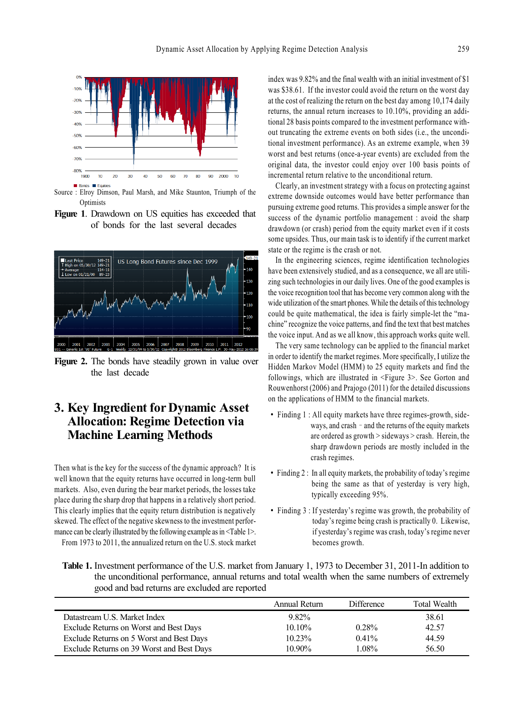

Source : Elroy Dimson, Paul Marsh, and Mike Staunton, Triumph of the **Optimists** 

**Figure 1**. Drawdown on US equities has exceeded that of bonds for the last several decades



**Figure 2.** The bonds have steadily grown in value over the last decade

### **3. Key Ingredient for Dynamic Asset Allocation: Regime Detection via Machine Learning Methods**

Then what is the key for the success of the dynamic approach? It is well known that the equity returns have occurred in long-term bull markets. Also, even during the bear market periods, the losses take place during the sharp drop that happens in a relatively short period. This clearly implies that the equity return distribution is negatively skewed. The effect of the negative skewness to the investment performance can be clearly illustrated by the following example as in <Table 1>.

From 1973 to 2011, the annualized return on the U.S. stock market

index was 9.82% and the final wealth with an initial investment of \$1 was \$38.61. If the investor could avoid the return on the worst day at the cost of realizing the return on the best day among 10,174 daily returns, the annual return increases to 10.10%, providing an additional 28 basis points compared to the investment performance without truncating the extreme events on both sides (i.e., the unconditional investment performance). As an extreme example, when 39 worst and best returns (once-a-year events) are excluded from the original data, the investor could enjoy over 100 basis points of incremental return relative to the unconditional return.

Clearly, an investment strategy with a focus on protecting against extreme downside outcomes would have better performance than pursuing extreme good returns. This provides a simple answer for the success of the dynamic portfolio management : avoid the sharp drawdown (or crash) period from the equity market even if it costs some upsides. Thus, our main task is to identify if the current market state or the regime is the crash or not.

In the engineering sciences, regime identification technologies have been extensively studied, and as a consequence, we all are utilizing such technologies in our daily lives. One of the good examples is the voice recognition tool that has become very common along with the wide utilization of the smart phones. While the details of this technology could be quite mathematical, the idea is fairly simple-let the "machine" recognize the voice patterns, and find the text that best matches the voice input. And as we all know, this approach works quite well.

The very same technology can be applied to the financial market in order to identify the market regimes. More specifically, I utilize the Hidden Markov Model (HMM) to 25 equity markets and find the followings, which are illustrated in <Figure 3>. See Gorton and Rouwenhorst (2006) and Prajogo (2011) for the detailed discussions on the applications of HMM to the financial markets.

- Finding 1 : All equity markets have three regimes-growth, sideways, and crash  $-$  and the returns of the equity markets are ordered as growth > sideways > crash. Herein, the sharp drawdown periods are mostly included in the crash regimes.
- Finding 2 : In all equity markets, the probability of today's regime being the same as that of yesterday is very high, typically exceeding 95%.
- Finding 3 : If yesterday's regime was growth, the probability of today's regime being crash is practically 0. Likewise, if yesterday's regime was crash, today's regime never becomes growth.

**Table 1.** Investment performance of the U.S. market from January 1, 1973 to December 31, 2011-In addition to the unconditional performance, annual returns and total wealth when the same numbers of extremely good and bad returns are excluded are reported

|                                           | Annual Return | <b>Difference</b> | <b>Total Wealth</b> |
|-------------------------------------------|---------------|-------------------|---------------------|
| Datastream U.S. Market Index              | $9.82\%$      |                   | 38.61               |
| Exclude Returns on Worst and Best Days    | $10.10\%$     | 0.28%             | 42.57               |
| Exclude Returns on 5 Worst and Best Days  | 10.23%        | $0.41\%$          | 44.59               |
| Exclude Returns on 39 Worst and Best Days | $10.90\%$     | 1.08%             | 56.50               |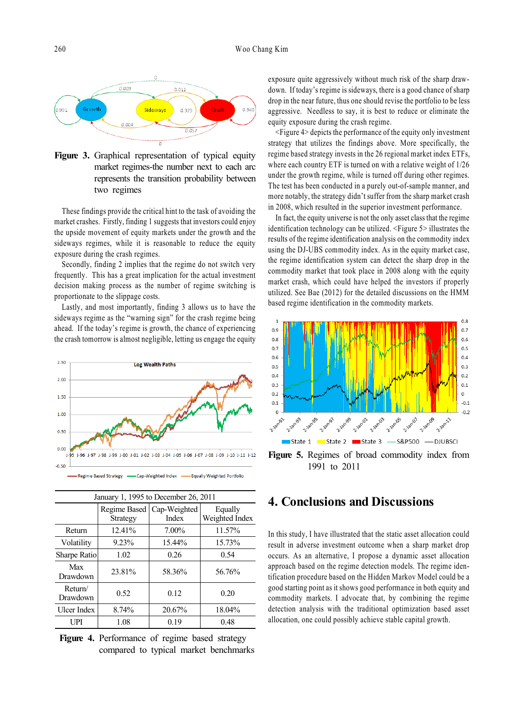

**Figure 3.** Graphical representation of typical equity market regimes-the number next to each arc represents the transition probability between two regimes

These findings provide the critical hint to the task of avoiding the market crashes. Firstly, finding 1 suggests that investors could enjoy the upside movement of equity markets under the growth and the sideways regimes, while it is reasonable to reduce the equity exposure during the crash regimes.

Secondly, finding 2 implies that the regime do not switch very frequently. This has a great implication for the actual investment decision making process as the number of regime switching is proportionate to the slippage costs.

Lastly, and most importantly, finding 3 allows us to have the sideways regime as the "warning sign" for the crash regime being ahead. If the today's regime is growth, the chance of experiencing the crash tomorrow is almost negligible, letting us engage the equity



| January 1, 1995 to December 26, 2011 |                                 |                       |                           |  |  |
|--------------------------------------|---------------------------------|-----------------------|---------------------------|--|--|
|                                      | Regime Based<br><b>Strategy</b> | Cap-Weighted<br>Index | Equally<br>Weighted Index |  |  |
| Return                               | 12.41%                          | 7.00%                 | 11.57%                    |  |  |
| Volatility                           | 9.23%                           | 15.44%                | 15.73%                    |  |  |
| Sharpe Ratio                         | 1.02                            | 0.26                  | 0.54                      |  |  |
| Max<br>Drawdown                      | 23.81%                          | 58.36%                | 56.76%                    |  |  |
| Return/<br>Drawdown                  | 0.52                            | 0.12                  | 0.20                      |  |  |
| <b>Ulcer Index</b>                   | 8.74%                           | 20.67%                | 18.04%                    |  |  |
| UPI                                  | 1.08                            | 0.19                  | 0.48                      |  |  |

 **Figure 4.** Performance of regime based strategy compared to typical market benchmarks exposure quite aggressively without much risk of the sharp drawdown. If today's regime is sideways, there is a good chance of sharp drop in the near future, thus one should revise the portfolio to be less aggressive. Needless to say, it is best to reduce or eliminate the equity exposure during the crash regime.

<Figure 4> depicts the performance of the equity only investment strategy that utilizes the findings above. More specifically, the regime based strategy invests in the 26 regional market index ETFs, where each country ETF is turned on with a relative weight of 1/26 under the growth regime, while is turned off during other regimes. The test has been conducted in a purely out-of-sample manner, and more notably, the strategy didn't suffer from the sharp market crash in 2008, which resulted in the superior investment performance.

In fact, the equity universe is not the only asset class that the regime identification technology can be utilized. <Figure 5> illustrates the results of the regime identification analysis on the commodity index using the DJ-UBS commodity index. As in the equity market case, the regime identification system can detect the sharp drop in the commodity market that took place in 2008 along with the equity market crash, which could have helped the investors if properly utilized. See Bae (2012) for the detailed discussions on the HMM based regime identification in the commodity markets.



1991 to 2011

#### **4. Conclusions and Discussions**

In this study, I have illustrated that the static asset allocation could result in adverse investment outcome when a sharp market drop occurs. As an alternative, I propose a dynamic asset allocation approach based on the regime detection models. The regime identification procedure based on the Hidden Markov Model could be a good starting point as it shows good performance in both equity and commodity markets. I advocate that, by combining the regime detection analysis with the traditional optimization based asset allocation, one could possibly achieve stable capital growth.